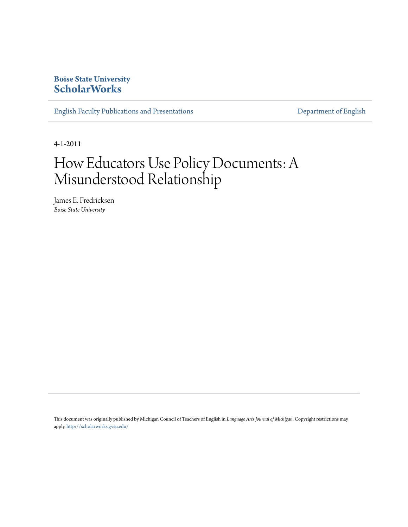### **Boise State University [ScholarWorks](https://scholarworks.boisestate.edu)**

[English Faculty Publications and Presentations](https://scholarworks.boisestate.edu/english_facpubs) **[Department of English](https://scholarworks.boisestate.edu/english)** 

4-1-2011

# How Educators Use Policy Documents: A Misunderstood Relationship

James E. Fredricksen *Boise State University*

This document was originally published by Michigan Council of Teachers of English in *Language Arts Journal of Michigan*. Copyright restrictions may apply. <http://scholarworks.gvsu.edu/>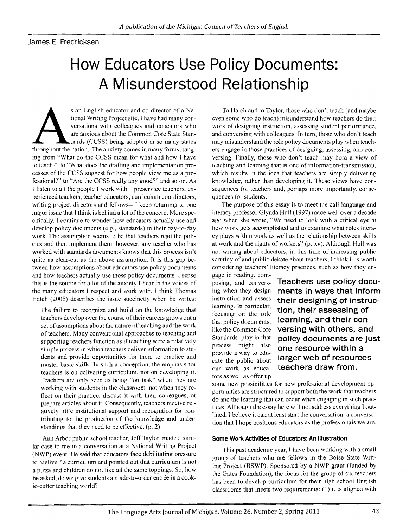#### James E. Fredricksen

# **How Educators Use Policy Documents: A Misunderstood Relationship**

s an English educator and co-director of a Na-<br>tional Writing Project site, I have had many con<br>versations with colleagues and educators where<br>are anxious about the Common Core State Stan<br>dards (CCSS) being adopted in so m tional Writing Project site, I have had many conversations with colleagues and educators who are anxious about the Common Core State Standards (CCSS) being adopted in so many states ing from "What do the CCSS mean for what and how I have to teach?" to "What does the drafting and implementation processes of the CCSS suggest for how people vicw me as a professional?" to "Are the CCSS really any good?" and so on. As I listen to all the people I work with—preservice teachers, experienced teachers, teacher educators, curriculum coordinators, writing project directors and fellows-I keep returning to one major issue that I think is behind a lot of the concern. More specifically, I continue to wonder how educators actually use and develop policy documents (e.g., standards) in their day-to-day work. The assumption seems to be that teachers read the policies and then implement them; however, any teacher who has worked with standards documents knows that this process isn't quite as clear-cut as the above assumption. It is this gap between how assumptions about cducators use policy documents and how teachers actually use those policy documents. I sense this is the source for a lot of the anxiety I hear in the voices of the many educators I respect and work with. I think Thomas Hatch (2005) describes the issue succinctly when he writes:

The failure to recognize and build on the knowledge that teachers develop over the course of their careers grows out a set of assumptions about the nature of teaching and the work of teachers. Many conventional approaches to teaching and supporting teachers function as if teaching were a relatively simple process in which teachers deliver information to students and provide opportunities for them to practice and master basic skills. In such a conception, the emphasis for teachers is on delivering curriculum, not on developing it. Teachers are only seen as being "on task" when they are working with students in the classroom-not when they reflect on their praetice, discuss it with their colleagues, or prepare articles about it. Consequently, teachers receive relatively little institutional support and recognition for contributing to the production of the knowledge and understandings that they need to be effective. (p. 2)

Ann Arbor public school teacher, Jeff Taylor, made a similar case to me in a conversation at a National Writing Project (NWP) event. He said that educators face debilitating pressure to 'deliver' a curriculum and pointed out that curriculum is not a pizza and children do not like all the same toppings. So, how he asked, do we give students a made-to-order entrée in a cookie-cutter teaching world?

To Hatch and to Taylor, those who don't teach (and maybe even some who do teach) misunderstand how teachers do their work of designing instruction, assessing student performance, and conversing with colleagues. In turn, those who don't teach may misunderstand the role policy documents play when teachers engage in those praetices of designing, assessing, and conversing. Finally, those who don't teach may hold a view of teaching and learning that is one of information-transmission, whieh results in the idea that teachers are simply delivering knowledge, rather than developing it. These views have consequences for teachers and, perhaps more importantly, consequences for students.

The purpose of this essay is to meet the call language and literacy professor Glynda Hull (1997) made well over a decade ago when she wrote, "We need to look with a critical eye at how work gets accomplished and to examine what roles literacy plays within work as well as the relationship between skills at work and the rights of workers" (p. xv). Although Hull was not writing about educators, in this time of increasing public scrutiny of and publie debate about teachers, I think it is worth considering teachers' literacy practices, such as how they en-

gage in reading, comfocusing on the role tors as well as offer up

posing, and convers- **Teachers use policy docu**ing when they design **ments in ways that inform**  instruction and assess **their designing of instruc**tion, their assessing of that policy documents, **learning, and their con** like the Common Core **versing with others, and**  Standards, play in that **policy documents are just**  process might also **one resource within a** provide a way to edu-<br>cate the public about **larger web of resources** our work as educa- **teachers draw from.** 

some new possibilities for how professional development op portunities are structured to support both the work that teachers do and the learning that can occur when engaging in such prac tices. Although the essay here will not address everything Iout lined, I believe it can at least start the conversation-a conversa tion that J hope positions educators as the professionals we are.

#### **Some Work Activities of Educators: An Illustration**

This past academic year, I have been working with a small group of teachers who are fellows in the Boise State Writing Project (BSWP). Sponsored by a NWP grant (funded by the Gates Foundation), the focus for the group of six teachers has been to develop curriculum for their high school English classrooms that meets two requirements: (I) it is aligned with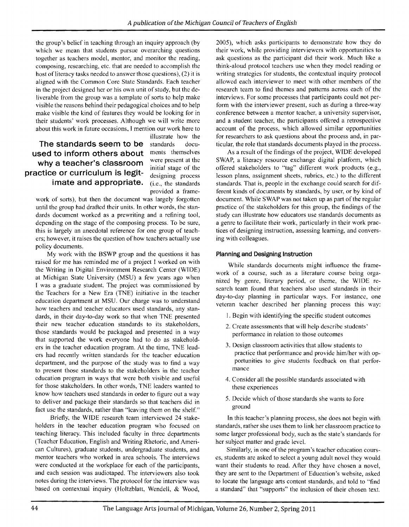the group's belief in teaching through an inquiry approach (by which we mean that students pursue overarching questions together as teachers model, mentor, and monitor the reading, composing, researching, etc. that are needed to accomplish the host of literacy tasks needed to answer those questions), (2) it is aligned with the Common Core State Standards. Each teacher in the project designed her or his own unit of study, but the deliverable from the group was a template of sorts to help make visible the reasons behind their pedagogical choices and to help make visible the kind of features they would be looking for in their students' work processes. Although we will write more about this work in future occasions, I mention our work here to

## **The standards seem to be** standards docu**used to inform others about** ments themselves why a teacher's classroom were present at the **practice or curriculum is legit**-<br>**practice or curriculum is legit**-<br>designing process **imate and appropriate.** (i.e., the standards

illustrate how the provided a frame-

work of sorts), but then the document was largely forgotten until the group had drafted their units. In other words, the standards document worked as a prewriting and a refining tool, depending on the stage of the composing process. To be sure, this is largely an anecdotal reference for one group of teachers; however, it raises the question of how teachers actually use policy documents.

My work with the BSWP group and the questions it has raised for me has reminded me of a project I worked on with the Writing in Digital Environment Research Center (WIDE) at Michigan State University (MSU) a few years ago when I was a graduate student. The project was commissioned by the Teachers for a New Era (TNE) initiative in the teacher education department at MSU. Our charge was to understand how teachers and teacher educators used standards, any standards, in their day-to-day work so that when TNE presented their new teacher education standards to its stakeholders, those standards would be packaged and presented in a way that supported the work everyone had to do as stakeholders in the teacher education program. At the time, TNE leaders had recently written standards for the teacher education department, and the purpose of the study was to find a way to present those standards to the stakeholders in the teacher education program in ways that were both visible and useful for those stakeholders. In other words, TNE leaders wanted to know how teachers used standards in order to figure out a way to deliver and package their standards so that teachers did in fact use the standards, rather than "leaving them on the shelf."

Briefly, the WIDE research team interviewed 24 stakeholders in the teacher education program who focused on teaching literacy. This included faculty in three departments (Teacher Education, English and Writing Rhetoric, and American Cultures), graduate students, undergraduate students, and mentor teachers who worked in area schools. The interviews were conducted at the workplace for each of the participants, and each session was audiotaped. The interviewers also took notes during the interviews. The protocol for the interview was based on contextual inquiry (Holtzblatt, Wendell, & Wood,

2005), which asks participants to demonstrate how they do their work, while providing interviewers with opportunities to ask questions as the participant did their work. Much like a think-aloud protocol teachers use when they model reading or writing strategies for students, the contextual inquiry protocol allowed each interviewer to meet with other members of the research team to find themes and patterns across each of the interviews. For some processes that participants could not perform with the interviewer present, such as during a three-way conference between a mentor teacher, a university supervisor, and a student teacher, the participants offered a retrospective account of the process, which allowed similar opportunities for researchers to ask questions about the process and, in particular, the role that standards documents played in the process.

As a result of the findings of the project, WIDE developed SWAP, a literacy resource exchange digital platform, which offered stakeholders to "tag" different work products (e.g., lesson plans, assignment sheets, rubrics, etc.) to the different standards. That is, people in the exchange could search for different kinds of documents by standards, by user, or by kind of document. While SWAP was not taken up as part of the regular practice of the stakeholders for this group, the findings of the study can illustrate how educators use standards documents as a genre to facilitate their work, particularly in their work practices of designing instruction, assessing learning, and conversing with colleagues.

#### **Planning and Designing Instruction**

While standards documents might influence the framework of a course, such as a literature course being organized by genre, literary period, or theme, the WIDE research team found that teachers also used standards in their day-to-day planning in particular ways. For instance, one veteran teacher described her planning process this way:

- I. Begin with identifying the specific student outcomes
- 2. Create assessments that will help describe students' performance in relation to those outcomes
- 3. Design classroom activities that allow students to practice that performance and provide him/her with opportunities to give students feedback on that performance
- 4. Consider all the possible standards associated with these experiences
- 5. Decide which of those standards she wants to fore ground

In this teacher's planning process, she does not begin with standards, rather she uses them to link her classroom practice to some larger professional body, such as the state's standards for her subject matter and grade level.

Similarly, in one of the program's teacher education courses, students are asked to select a young adult novel they would want their students to read. After they have chosen a novel, they are sent to the Department of Education's website, asked to locate the language arts content standards, and told to "find a standard" that "supports" the inclusion of their chosen text.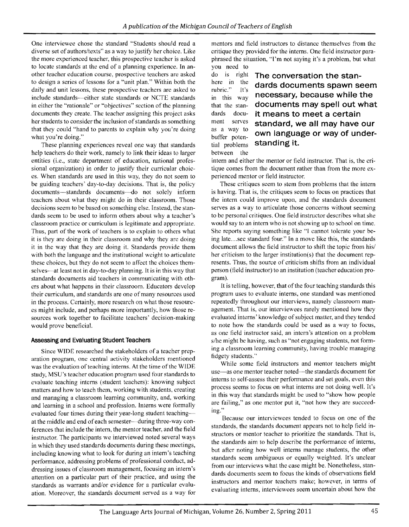One interviewee chose the standard "Students should read a diverse set of authors/texts" as a way to justify her choice. Like the more experienced teacher, this prospective teacher is asked to locate standards at the end of a planning experience. In another teacher education course, prospective teachers are asked to design a series of lessons for a "unit plan." Within both the daily and unit lessons, these prospective teachers are asked to include standards-either state standards or NCTE standards in either the "rationale" or "objectives" section of the planning documents they create. The teacher assigning this project asks her students to consider the inclusion of standards as something that they could "hand to parents to explain why you're doing what you're doing."

These planning experiences reveal one way that standards help teachers do their work, namely to link their ideas to larger entities (i.e., state department of education, national professional organization) in order to justify their curricular choices. When standards are used in this way, they do not seem to be guiding teachers' day-to-day decisions. That is, the policy documents-standards documents-do not solely inform teachers about what they might do in their classroom. Those decisions seem to be based on something else. Instead, the standards seem to be used to inform others about why a teacher's classroom practice or curriculum is legitimate and appropriate. Thus, part of the work of teachers is to explain to others what it is they arc doing in their classroom and why they are doing it in the way that they are doing it. Standards provide them with both the language and the institutional weight to articulate these choices, but they do not seem to affect the choices themselves-at least not in day-to-day planning. It is in this way that standards documents aid teachers in communicating with others about what happens in their classroom. Educators develop their curriculum, and standards are one of many resources used in the process. Certainly, more research on what those resources might include, and perhaps more importantly, how those resources work together to facilitate teachers' decision-making would prove beneficial.

#### **Assessing and Evaluating Student Teachers**

Since WIDE researched the stakeholders of a teacher preparation program, one central activity stakeholders mentioned was the evaluation of teaching interns. At the time of the WIDE study, MSU's teacher education program used four standards to evaluate teaching interns (student teachers): knowing subject matters and how to teach them, working with students, creating and managing a classroom learning community, and, working and learning in a school and profession. Interns were fonnally evaluated four times during their year-long student teachingat the middle and end of each semester-during three-way conferences that include the intern, the mentor teacher, and the field instructor. The participants we interviewed noted several ways in which they used standards documents during these meetings, including knowing what to look for during an intern's teaching performance, addressing problems of professional conduct, addressing issues of classroom management, focusing an intern's attention on a particular part of their practiee, and using the standards as warrants and/or evidence for a particular evaluation. Moreover, the standards document served as a way for mentors and field instructors to distance themselves from the critique they provided for the interns. One field instructor paraphrased the situation, "I'm not saying it's a problem, but what you need to

as a way to buffer potenbetween the

### do is right **The conversation the stan**here in the **dards documents spawn seem** rubric." It's  $\frac{100}{2}$  in this way necessary, because while the that the stan- **documents may spell out what**  dards docu- **it means to meet a certain**  serves standard, we all may have our **own language or way of under**tial problems **standing it.**

intern and either the mentor or field instructor. That is, the cri tique comes from the document rather than from the more ex perienced mentor or field instructor.

These critiques seem to stem from problems that the intern is having. That is, the critiques seem to focus on practices that the intern could improve upon, and the standards document serves as a way to articulate those concerns without seeming to be personal critiques. One field instructor describes what she would say to an intern who is not showing up to school on time. She reports saying something like "1 cannot tolerate your being late ...see standard four," In a move like this, the standards document allows the field instructor to shift the topic from his/ her criticism to the larger institution(s) that the document represents. Thus, the source of criticism shifts from an individual person (field instructor) to an institution (teacher education program).

It is telling, however, that of the four teaching standards this program uses to evaluate interns, one standard was mentioned repeatedly throughout our interviews, namely classroom managcment. That is, our interviewees rarely mentioned how they evaluated interns' knowledge of subject matter, and they tended to note how the standards could be used as a way to focus, as one field instructor said, an intcrn's attention on a problem s/he might be having, such as "not engaging students, not forming a classroom learning community, having trouble managing fidgety students."

While some field instructors and mentor teachers might use-as one mentor teacher noted-the standards document for interns to self-assess their performance and set goals, even this process seems to focus on what interns are not doing well. It's in this way that standards might be used to "show how people are failing," as one mentor put it, "not how they are succeeding."

Because our interviewees tended to focus on one of the standards, the standards document appears not to help field instructors or mentor teacher to prioritize the standards. That is, the standards aim to help describe the performance of interns, but after noting how well interns manage students, the other standards seem ambiguous or equally weighted. It's unclear from our interviews what the case might be. Nonetheless, standards documents seem to focus the kinds of observations field instructors and mentor teachers make; however, in terms of evaluating interns, interviewees seem uncertain about how the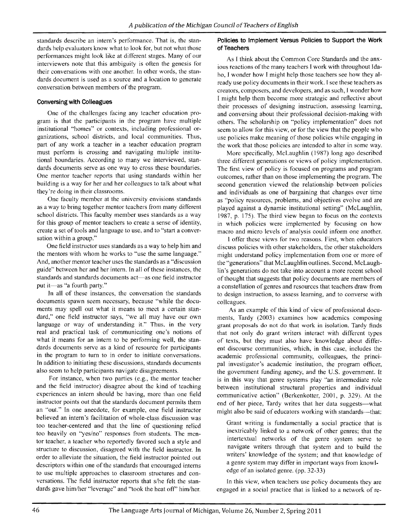standards describe an intern's performance. That is, the standards help evaluators know what to look for, but not what those performances might look like at different stages. Many of our interviewers note that this ambiguity is often the genesis for their conversations with one another. In other words, the standards document is used as a source and a location to generate conversation between members of the program.

#### **Conversing with Colleagues**

One of the challenges facing any teacher education program is that thc participants in the program have multiple institutional "homes" or contexts, including professional organizations, school districts, and local communities. Thus, part of any work a teacher in a teacher cducation program must perform is crossing and navigating multiple institutional boundaries. According to many wc intervicwed, standards documents serve as one way to cross these boundaries. One mentor teacher reports that using standards within her building is a way for her and her colleagues to talk about what they'rc doing in their classrooms.

One faculty member at the university envisions standards as a way to bring together mentor teachers from many different school districts. This faculty member uses standards as a way for this group of mentor teachers to create a sense of identity, create a set of tools and language to use, and to "start a conversation within a group."

One field instructor uses standards as a way to help him and the mentors with whom he works to "usc the same language." And, another mentor teacher uses the standards as a "discussion guide" between her and her intern. In all of these instances, the standards and standards documents act-as one field instructor put it-as "a fourth party."

In all of these instances, the conversation the standards documents spawn seem necessary, because "while the documents may spell out what it means to meet a certain standard," one field instructor says, "we all may have our own language or way of understanding it." Thus, in the very real and practical task of communicating one's notions of what it means for an intern to be performing well, the standards documents serve as a kind of resource for participants in the program to tum to in order to initiate conversations. In addition to initiating these discussions, standards documents also seem to help participants navigate disagreements.

For instance, when two parties (e.g., the mentor teacher and the field instructor) disagree about the kind of teaching experiences an intern should be having, more than one field instructor points out that the standards document permits them an "out." In one anecdote, for example, one field instructor believed an intern's facilitation of whole-class discussion was too teacher-centered and that the line of questioning relied too heavily on "yes/no" responses from students. The mentor teacher, a teacher who reportedly favored such a style and structure to discussion, disagreed with the field instructor. In order to alleviate the situation, the field instructor pointed out descriptors within one of the standards that encouraged interns to use multiple approaches to classroom structures and conversations. The field instructor reports that *slhe* felt the standards gave him/her "leverage" and "took the heat otf' him/her.

#### **Policies to Implement Versus Policies to Support the Work**  of Teachers

As I think about the Common Core Standards and the anxious reactions of the many teachers I work with throughout Idaho, 1 wonder how I might help those teachers see how they already use policy documents in their work. I see these teachers as creators, composers, and developers, and as such, I wonder how I might help them become more strategic and reflective about their processes of designing instruction, assessing learning, and conversing about their professional decision-making with others. The scholarship on "policy implementation" does not seem to allow for this view, or for the view that the people who use policies make meaning of those policies while engaging in the work that those policies are intended to alter in some way.

More specifically, McLaughlin (1987) long ago described three different generations or views of policy implementation. The first view of policy is focused on programs and program outcomes, rather than on those implementing the program. The second generation viewed the relationship between policies and individuals as one of bargaining that changes over time as "policy resources, problems, and objectives evolve and are played against a dynamic institutional setting" (McLaughlin, 1987, p. 175). The third view began to focus on the contexts in which policies were implemented by focusing on how macro and micro levels of analysis could inform one another.

I offer these views for two reasons. First, when educators discuss policies with other stakeholders, the other stakeholders might understand policy implementation from one or more of the "generations" that McLaughlin outlines. Second, McLaughlin's generations do not take into account a more recent school of thought that suggests that policy documents are members of a constellation of genres and resources that teachers draw from to design instruction, to assess learning, and to converse with eolleagues.

As an example of this kind of view of professional documents, Tardy (2003) examines how academics composing grant proposals do not do that work **in** isolation. Tardy finds that not only do grant writers interact with different types of texts, but they must also have knowledge about different discourse communities, which, in this case, includes the academic professional community, colleagues, the principal investigator's academic institution, the program officer, the government funding agency, and the U.S. government. It is in this way that genre systems play "an intermediate role between institutional structural properties and individual communicative action" (Berkenkotter, 2001, p. 329). At the end of her piece, Tardy writes that her data suggests-what might also be said of educators working with standards—that:

Grant writing is fundamentally a social practice that is inextricably linked to a network of other genres; that the intertextual networks of the genre system serve to navigate writers through that system and to build the writers' knowledge of the system; and that knowledge of a genre system may differ in important ways from knowledge of an isolated genre. (pp. 32-33)

In this view, when teachers use policy documents they are engaged in a social practice that is linked to a network of re-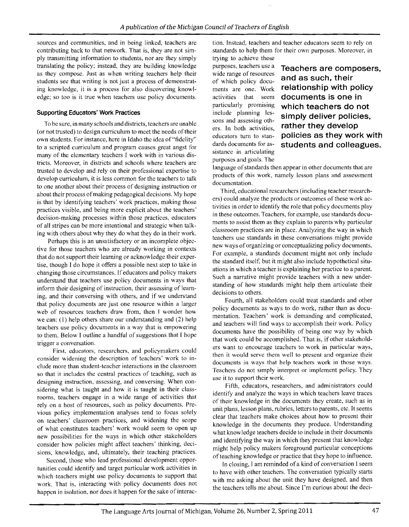sources and communities, and in being linked, teachers are contributing back to that network. That is, they are not simply transmitting information to students, nor are they simply translating the policy; instead, they are building knowledge as they compose. Just as when writing teachers help their students see that writing is not just a process of demonstrating knowledge, it is a process for also discovering knowledge; so too is it true when teachers use policy documents.

#### **Supporting Educators' Work Practices**

To be sure, in many schools and districts, teachers are unable (or not trusted) to design curriculum to meet the needs of their own students. For instance, here in Idaho the idea of"fidelity" to a scripted curriculum and program causes great angst for many of the elementary teachers I work with in various districts. Moreover, in districts and schools where teachers are trusted to develop and rely on their professional expertise to develop curriculum, it is less common for the teachers to talk to one another about their process of designing instruction or about their process of making pedagogical decisions. My hope is that by identifying teachers' work practices, making those practices visible, and being more explicit about the teachers' decision-making processes within those practices, educators of all stripes can be more intentional and strategic when talking with others about why they do what they do in their work.

Perhaps this is an unsatisfactory or an incomplete objective for those teachers who are already working in contexts that do not support their learning or acknowledge their expertise, though I do hope it offers a possible next step to take in changing those circumstances. If educators and policy makers understand that teachers use policy documents in ways that inform their designing of instruction, their assessing of learning, and their conversing with others, and if we understand that policy documents are just one resource within a larger web of resources teachers draw from, then I wonder how we can: (I) help others share our understanding and (2) help teachers use policy documents in a way that is empowering to them. Below I outline a handful of suggestions that I hope trigger a conversation.

First, educators, researchers, and policymakers could consider widening the description of teachers' work to include more than student-teacher interactions in the classroom so that it includes the central practices of teaching, such as designing instruction, assessing, and conversing. When considering what is taught and how it is taught in their classrooms, teachers engage in a wide range of activities that rely on a host of resources, such as policy documents. Previous policy implementation analyses tend to focus solely on teachers' classroom practices, and widening the scope of what constitutes teachers' work would seem to open up new possibilities for the ways in which other stakeholders consider how policies might affect teachers' thinking, decisions, knowledge, and, ultimately, their teaching practices.

Second, those who lead professional development opportunities could identify and target particular work activities in which teachers might use policy documents to support that work. That is, interacting with policy documents does not happen in isolation, nor does it happen for the sake of interac-

tion. Instead, teachers and teacher educators seem to rely on standards to help them for their own purposes. Moreover, in

trying to achieve these<br>purposes, teachers use a sistance in articulating purposes and goals. The

purposes, teachers use a **Teachers are composers,** wide range of resources **and as such, their** of which policy docu-<br>ments are one. Work **relationship with policy** relationship with policy activities that seem **documents is one in**  particularly promising **which teachers do not**  include planning les-<br>sons and assessing oth-<br>**Simply deliver policies,** ers. In both activities, **rather they develop**<br>educators turn to stan-**policies as they wor** policies as they work with dards documents for as-<br>
students and colleagues.

language of standards then appear in other documents that are products of this work, namely lesson plans and assessment documentation.

Third, educational researchers (including teacher researchers) could analyze the products or outcomes of these work activities in order to identify the role that policy documents play in these outcomes. Teachers, for example, use standards documents to assist them as they explain to parents why particular classroom practices are in place. Analyzing the way in which teachers use standards in these conversations might provide new ways of organizing or conceptualizing policy documents. For example, a standards document might not only include the standard itself, but it might also include hypothetical situations in which a teacher is explaining her practice to a parent. Such a narrative might provide teachers with a new understanding of how standards might help them articulate their decisions to others.

Fourth, all stakeholders could treat standards and other policy documents as ways to do work, rather than as documentation. Teachers' work is demanding and complicated, and teachers will find ways to accomplish their work. Policy documents have the possibility of being one way by which that work could be accomplished. That is, if other stakeholders want to encourage teachers to work in particular ways, then it would serve them well to present and organize their documents in ways that help teachers work in those ways. Teachers do not simply interpret or implement policy. They use it to support their work.

Fifth, educators, researchers, and administrators could identify and analyze the ways in which teachers leave traces of their knowledge in the documents they create, such as in unit plans, lesson plans, rubrics, letters to parents, etc. It seems clear that teachers make choices about how to present their knowledge in the documents they produce. Understanding what knowledge teachers decide to include in their documents and identifying the way in which they present that knowledge might help policy makers foreground particular conceptions of teaching knowledge or practice that they hope to influence.

In closing, I am reminded of a kind of conversation I seem to have with other teachers. The conversation typically starts with me asking about the unit they have designed, and then the teachers tells me about. Since I'm curious about the deci